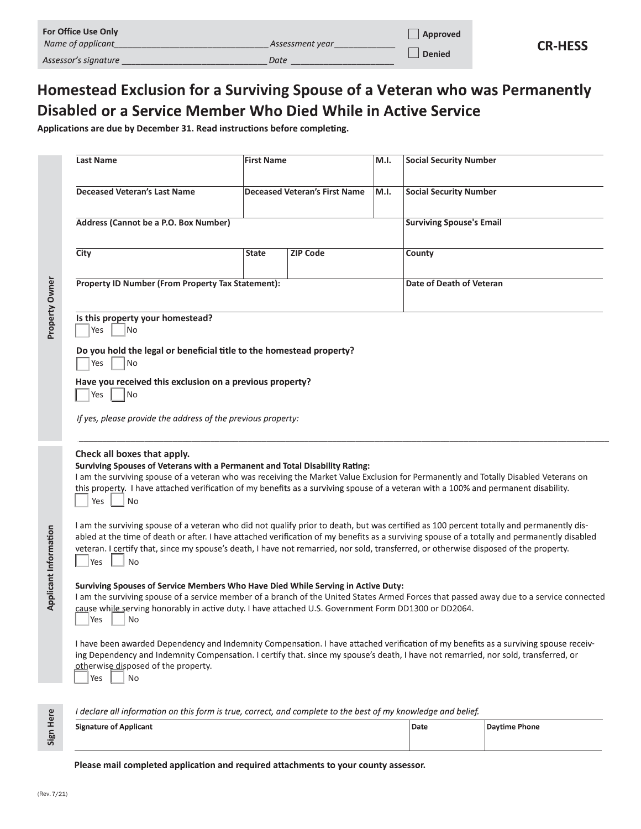| <b>For Office Use Only</b> |                 | Approved      |                |
|----------------------------|-----------------|---------------|----------------|
| Name of applicant          | Assessment vear |               | <b>CR-HESS</b> |
| Assessor's signature       | Date            | <b>Denied</b> |                |

# Homestead Exclusion for a Surviving Spouse of a Veteran who was Permanently **Disabled or a Service Member Who Died While in Active Service**

|                       | or Office Use Only                                                                                                                                                                                                                                                                                                                                                                                                                                     |                   |                                      |      |                                 |                |  |
|-----------------------|--------------------------------------------------------------------------------------------------------------------------------------------------------------------------------------------------------------------------------------------------------------------------------------------------------------------------------------------------------------------------------------------------------------------------------------------------------|-------------------|--------------------------------------|------|---------------------------------|----------------|--|
|                       | Vame of applicant_<br>Manufacture Assessment year                                                                                                                                                                                                                                                                                                                                                                                                      |                   |                                      |      | Approved                        | <b>CR-HESS</b> |  |
|                       | \ssessor's signature                                                                                                                                                                                                                                                                                                                                                                                                                                   |                   | <i>Date</i>                          |      | <b>Denied</b>                   |                |  |
|                       | <b>Iomestead Exclusion for a Surviving Spouse of a Veteran who was Permanently</b><br>isabled or a Service Member Who Died While in Active Service<br>pplications are due by December 31. Read instructions before completing.                                                                                                                                                                                                                         |                   |                                      |      |                                 |                |  |
|                       | <b>Last Name</b>                                                                                                                                                                                                                                                                                                                                                                                                                                       | <b>First Name</b> |                                      | M.I. | <b>Social Security Number</b>   |                |  |
|                       | <b>Deceased Veteran's Last Name</b>                                                                                                                                                                                                                                                                                                                                                                                                                    |                   | <b>Deceased Veteran's First Name</b> | M.I. | <b>Social Security Number</b>   |                |  |
|                       | Address (Cannot be a P.O. Box Number)                                                                                                                                                                                                                                                                                                                                                                                                                  |                   |                                      |      | <b>Surviving Spouse's Email</b> |                |  |
|                       | City                                                                                                                                                                                                                                                                                                                                                                                                                                                   | State             | <b>ZIP Code</b>                      |      | County                          |                |  |
|                       | Property ID Number (From Property Tax Statement):                                                                                                                                                                                                                                                                                                                                                                                                      |                   |                                      |      | Date of Death of Veteran        |                |  |
| Property Owner        | Is this property your homestead?<br>$\vert$ Yes<br>$\overline{\phantom{1}}$ No                                                                                                                                                                                                                                                                                                                                                                         |                   |                                      |      |                                 |                |  |
|                       | Do you hold the legal or beneficial title to the homestead property?<br>$\left \begin{matrix} Y_{\text{e}} & \perp \end{matrix}\right $ No                                                                                                                                                                                                                                                                                                             |                   |                                      |      |                                 |                |  |
|                       | Have you received this exclusion on a previous property?<br> Yes<br> No                                                                                                                                                                                                                                                                                                                                                                                |                   |                                      |      |                                 |                |  |
|                       | If yes, please provide the address of the previous property:                                                                                                                                                                                                                                                                                                                                                                                           |                   |                                      |      |                                 |                |  |
|                       | Check all boxes that apply.<br>Surviving Spouses of Veterans with a Permanent and Total Disability Rating:<br>I am the surviving spouse of a veteran who was receiving the Market Value Exclusion for Permanently and Totally Disabled Veterans on<br>this property. I have attached verification of my benefits as a surviving spouse of a veteran with a 100% and permanent disability.<br>Yes<br>No                                                 |                   |                                      |      |                                 |                |  |
| Applicant Information | I am the surviving spouse of a veteran who did not qualify prior to death, but was certified as 100 percent totally and permanently dis-<br>abled at the time of death or after. I have attached verification of my benefits as a surviving spouse of a totally and permanently disabled<br>veteran. I certify that, since my spouse's death, I have not remarried, nor sold, transferred, or otherwise disposed of the property.<br>No<br><b>Pres</b> |                   |                                      |      |                                 |                |  |
|                       | Surviving Spouses of Service Members Who Have Died While Serving in Active Duty:<br>I am the surviving spouse of a service member of a branch of the United States Armed Forces that passed away due to a service connected<br>cause while serving honorably in active duty. I have attached U.S. Government Form DD1300 or DD2064.<br>Yes<br>No                                                                                                       |                   |                                      |      |                                 |                |  |
|                       | I have been awarded Dependency and Indemnity Compensation. I have attached verification of my benefits as a surviving spouse receiv-<br>ing Dependency and Indemnity Compensation. I certify that. since my spouse's death, I have not remarried, nor sold, transferred, or<br>otherwise disposed of the property.<br>Yes<br>No                                                                                                                        |                   |                                      |      |                                 |                |  |
|                       | I declare all information on this form is true, correct, and complete to the best of my knowledge and belief.                                                                                                                                                                                                                                                                                                                                          |                   |                                      |      |                                 |                |  |

| <b>Signature of Applicant</b>                                                       | Date | Daytime Phone |
|-------------------------------------------------------------------------------------|------|---------------|
|                                                                                     |      |               |
| Please mail completed application and required attachments to your county assessor. |      |               |